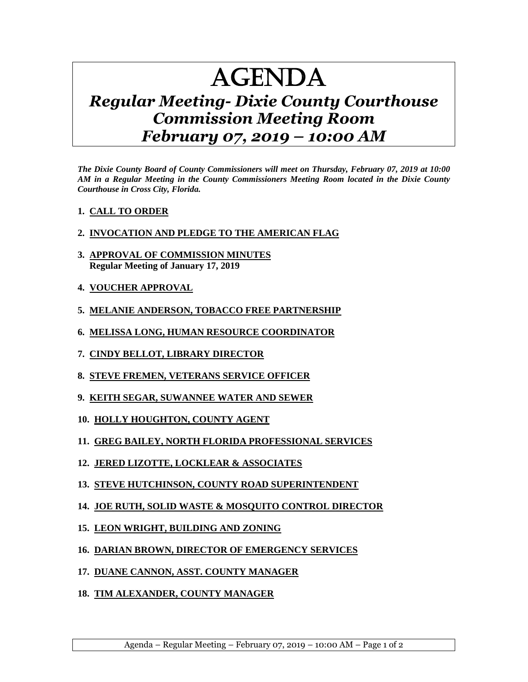## AGENDA

## *Regular Meeting- Dixie County Courthouse Commission Meeting Room February 07, 2019 – 10:00 AM*

*The Dixie County Board of County Commissioners will meet on Thursday, February 07, 2019 at 10:00 AM in a Regular Meeting in the County Commissioners Meeting Room located in the Dixie County Courthouse in Cross City, Florida.*

## **1. CALL TO ORDER**

## **2. INVOCATION AND PLEDGE TO THE AMERICAN FLAG**

- **3. APPROVAL OF COMMISSION MINUTES Regular Meeting of January 17, 2019**
- **4. VOUCHER APPROVAL**
- **5. MELANIE ANDERSON, TOBACCO FREE PARTNERSHIP**
- **6. MELISSA LONG, HUMAN RESOURCE COORDINATOR**
- **7. CINDY BELLOT, LIBRARY DIRECTOR**
- **8. STEVE FREMEN, VETERANS SERVICE OFFICER**
- **9. KEITH SEGAR, SUWANNEE WATER AND SEWER**
- **10. HOLLY HOUGHTON, COUNTY AGENT**
- **11. GREG BAILEY, NORTH FLORIDA PROFESSIONAL SERVICES**
- **12. JERED LIZOTTE, LOCKLEAR & ASSOCIATES**
- **13. STEVE HUTCHINSON, COUNTY ROAD SUPERINTENDENT**
- **14. JOE RUTH, SOLID WASTE & MOSQUITO CONTROL DIRECTOR**
- **15. LEON WRIGHT, BUILDING AND ZONING**
- **16. DARIAN BROWN, DIRECTOR OF EMERGENCY SERVICES**
- **17. DUANE CANNON, ASST. COUNTY MANAGER**
- **18. TIM ALEXANDER, COUNTY MANAGER**